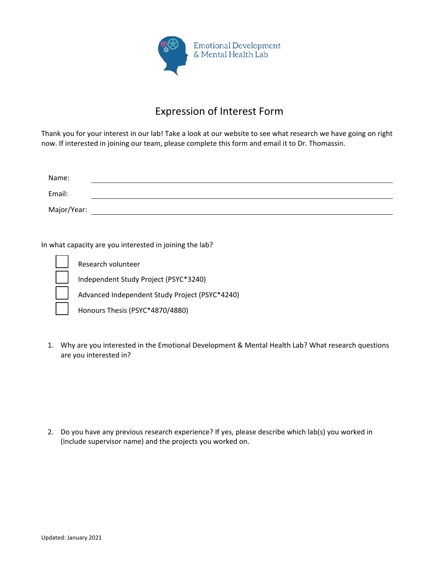

## Expression of Interest Form

Thank you for your interest in our lab! Take a look at our website to see what research we have going on right now. If interested in joining our team, please complete this form and email it to Dr. Thomassin.

| Name:       |  |
|-------------|--|
| Email:      |  |
| Major/Year: |  |

In what capacity are you interested in joining the lab?

Research volunteer

Independent Study Project (PSYC\*3240)

Advanced Independent Study Project (PSYC\*4240)

Honours Thesis (PSYC\*4870/4880)

1. Why are you interested in the Emotional Development & Mental Health Lab? What research questions are you interested in?

2. Do you have any previous research experience? If yes, please describe which lab(s) you worked in (include supervisor name) and the projects you worked on.